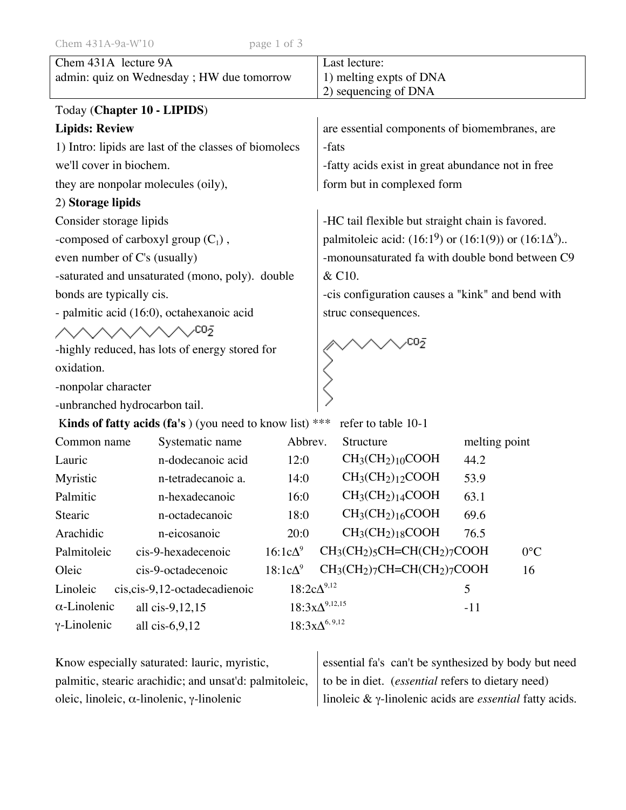| Chem 431A lecture 9A<br>admin: quiz on Wednesday ; HW due tomorrow             |                                |                      | Last lecture:<br>1) melting expts of DNA<br>2) sequencing of DNA  |  |
|--------------------------------------------------------------------------------|--------------------------------|----------------------|-------------------------------------------------------------------|--|
| Today (Chapter 10 - LIPIDS)                                                    |                                |                      |                                                                   |  |
| <b>Lipids: Review</b>                                                          |                                |                      | are essential components of biomembranes, are                     |  |
| 1) Intro: lipids are last of the classes of biomolecs                          |                                |                      | -fats                                                             |  |
| we'll cover in biochem.                                                        |                                |                      | -fatty acids exist in great abundance not in free                 |  |
| they are nonpolar molecules (oily),                                            |                                |                      | form but in complexed form                                        |  |
| 2) Storage lipids                                                              |                                |                      |                                                                   |  |
| Consider storage lipids                                                        |                                |                      | -HC tail flexible but straight chain is favored.                  |  |
| -composed of carboxyl group $(C_1)$ ,                                          |                                |                      | palmitoleic acid: $(16:1^9)$ or $(16:1(9))$ or $(16:1\Delta^9)$ . |  |
| even number of C's (usually)                                                   |                                |                      | -monounsaturated fa with double bond between C9                   |  |
| -saturated and unsaturated (mono, poly). double                                |                                |                      | & C10.                                                            |  |
| bonds are typically cis.                                                       |                                |                      | -cis configuration causes a "kink" and bend with                  |  |
| - palmitic acid (16:0), octahexanoic acid                                      |                                |                      | struc consequences.                                               |  |
| ヘヘヘヘヘヘヘパ                                                                       |                                |                      |                                                                   |  |
| -highly reduced, has lots of energy stored for                                 |                                |                      |                                                                   |  |
| oxidation.                                                                     |                                |                      |                                                                   |  |
| -nonpolar character                                                            |                                |                      |                                                                   |  |
| -unbranched hydrocarbon tail.                                                  |                                |                      |                                                                   |  |
| Kinds of fatty acids (fa's) (you need to know list) ***<br>refer to table 10-1 |                                |                      |                                                                   |  |
| Common name                                                                    | Systematic name                | Abbrev.              | Structure<br>melting point                                        |  |
| Lauric                                                                         | n-dodecanoic acid              | 12:0                 | $CH3(CH2)10COOH$<br>44.2                                          |  |
| Myristic                                                                       | n-tetradecanoic a.             | 14:0                 | $CH3(CH2)12COOH$<br>53.9                                          |  |
| Palmitic                                                                       | n-hexadecanoic                 | 16:0                 | $CH3(CH2)14COOH$<br>63.1                                          |  |
| Stearic                                                                        | n-octadecanoic                 | 18:0                 | $CH3(CH2)16COOH$<br>69.6                                          |  |
| Arachidic                                                                      | n-eicosanoic                   | 20:0                 | $CH3(CH2)18COOH$<br>76.5                                          |  |
| Palmitoleic                                                                    | cis-9-hexadecenoic             | $16:1c\Delta^9$      | $CH3(CH2)5CH=CH(CH2)7COOH$<br>$0^{\circ}$ C                       |  |
| Oleic                                                                          | cis-9-octadecenoic             | $18:1c\Delta^9$      | $CH3(CH2)7CH=CH(CH2)7COOH$<br>16                                  |  |
| Linoleic                                                                       | cis, cis-9, 12-octadecadienoic | $18:2c\Delta^{9,12}$ | 5                                                                 |  |
| $\alpha$ -Linolenic                                                            | all cis-9,12,15                |                      | $18:3x\Delta^{9,12,15}$<br>$-11$                                  |  |
| $\gamma$ -Linolenic                                                            | all $cis-6,9,12$               |                      | $18:3x\Delta^{6,9,12}$                                            |  |

| Know especially saturated: lauric, myristic,              | essential fa's can't be synthesized by body but need                    |
|-----------------------------------------------------------|-------------------------------------------------------------------------|
| palmitic, stearic arachidic; and unsat'd: palmitoleic,    | to be in diet. <i>(essential</i> refers to dietary need)                |
| oleic, linoleic, $\alpha$ -linolenic, $\gamma$ -linolenic | linoleic $\& \gamma$ -linolenic acids are <i>essential</i> fatty acids. |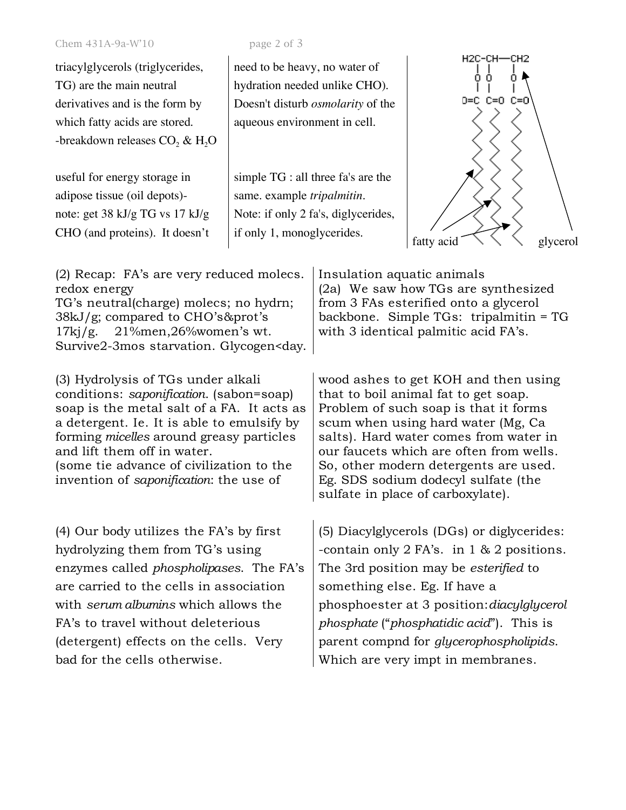## Chem 431A-9a-W'10 page 2 of 3

triacylglycerols (triglycerides, TG) are the main neutral derivatives and is the form by which fatty acids are stored. -breakdown releases  $CO<sub>2</sub>$  & H<sub>2</sub>O

useful for energy storage in adipose tissue (oil depots) note: get 38 kJ/g TG vs 17 kJ/g CHO (and proteins). It doesn't

need to be heavy, no water of hydration needed unlike CHO). Doesn't disturb *osmolarity* of the aqueous environment in cell.

simple TG : all three fa's are the same. example *tripalmitin*. Note: if only 2 fa's, diglycerides,



| (2) Recap: FA's are very reduced molecs. Insulation aquatic animals |                                        |
|---------------------------------------------------------------------|----------------------------------------|
| redox energy                                                        | (2a) We saw how TGs are synthesized    |
| TG's neutral(charge) molecs; no hydrn;                              | from 3 FAs esterified onto a glycerol  |
| $38kJ/g$ ; compared to CHO's&prot's                                 | backbone. Simple TGs: tripalmitin = TG |
| $17\text{kj/g}$ . $21\%$ men, $26\%$ women's wt.                    | with 3 identical palmitic acid FA's.   |
| Survive2-3mos starvation. Glycogen <day.< td=""><td></td></day.<>   |                                        |
|                                                                     |                                        |

(3) Hydrolysis of TGs under alkali conditions: *saponification*. (sabon=soap) soap is the metal salt of a FA. It acts as a detergent. Ie. It is able to emulsify by forming *micelles* around greasy particles and lift them off in water. (some tie advance of civilization to the invention of *saponification*: the use of

(4) Our body utilizes the FA's by first hydrolyzing them from TG's using enzymes called *phospholipases*. The FA's are carried to the cells in association with *serum albumins* which allows the FA's to travel without deleterious (detergent) effects on the cells. Very bad for the cells otherwise.

wood ashes to get KOH and then using that to boil animal fat to get soap. Problem of such soap is that it forms scum when using hard water (Mg, Ca salts). Hard water comes from water in our faucets which are often from wells. So, other modern detergents are used. Eg. SDS sodium dodecyl sulfate (the sulfate in place of carboxylate).

(5) Diacylglycerols (DGs) or diglycerides: -contain only 2 FA's. in 1 & 2 positions. The 3rd position may be *esterified* to something else. Eg. If have a phosphoester at 3 position:*diacylglycerol phosphate* ("*phosphatidic acid*"). This is parent compnd for *glycerophospholipids*. Which are very impt in membranes.